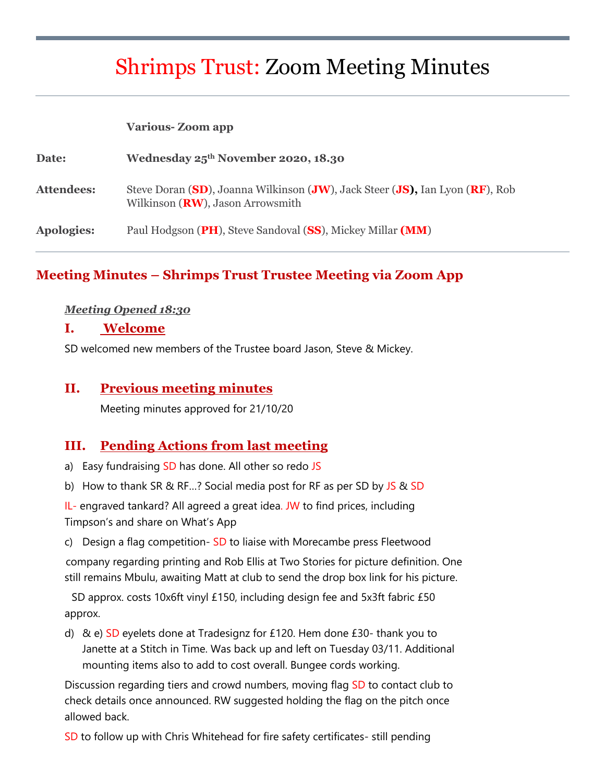# Shrimps Trust: Zoom Meeting Minutes

#### **Various- Zoom app**

| Date:             | Wednesday 25 <sup>th</sup> November 2020, 18.30                                                                           |
|-------------------|---------------------------------------------------------------------------------------------------------------------------|
| <b>Attendees:</b> | Steve Doran (SD), Joanna Wilkinson (JW), Jack Steer (JS), Ian Lyon (RF), Rob<br>Wilkinson ( <b>RW</b> ), Jason Arrowsmith |
| Apologies:        | Paul Hodgson (PH), Steve Sandoval (SS), Mickey Millar (MM)                                                                |

## **Meeting Minutes – Shrimps Trust Trustee Meeting via Zoom App**

#### *Meeting Opened 18:30*

#### **I. Welcome**

SD welcomed new members of the Trustee board Jason, Steve & Mickey.

#### **II. Previous meeting minutes**

Meeting minutes approved for 21/10/20

#### **III. Pending Actions from last meeting**

- a) Easy fundraising SD has done. All other so redo JS
- b) How to thank SR & RF...? Social media post for RF as per SD by JS & SD

IL- engraved tankard? All agreed a great idea. JW to find prices, including Timpson's and share on What's App

c) Design a flag competition- SD to liaise with Morecambe press Fleetwood

company regarding printing and Rob Ellis at Two Stories for picture definition. One still remains Mbulu, awaiting Matt at club to send the drop box link for his picture.

SD approx. costs 10x6ft vinyl £150, including design fee and 5x3ft fabric £50 approx.

d) & e) SD eyelets done at Tradesignz for £120. Hem done £30- thank you to Janette at a Stitch in Time. Was back up and left on Tuesday 03/11. Additional mounting items also to add to cost overall. Bungee cords working.

Discussion regarding tiers and crowd numbers, moving flag SD to contact club to check details once announced. RW suggested holding the flag on the pitch once allowed back.

SD to follow up with Chris Whitehead for fire safety certificates- still pending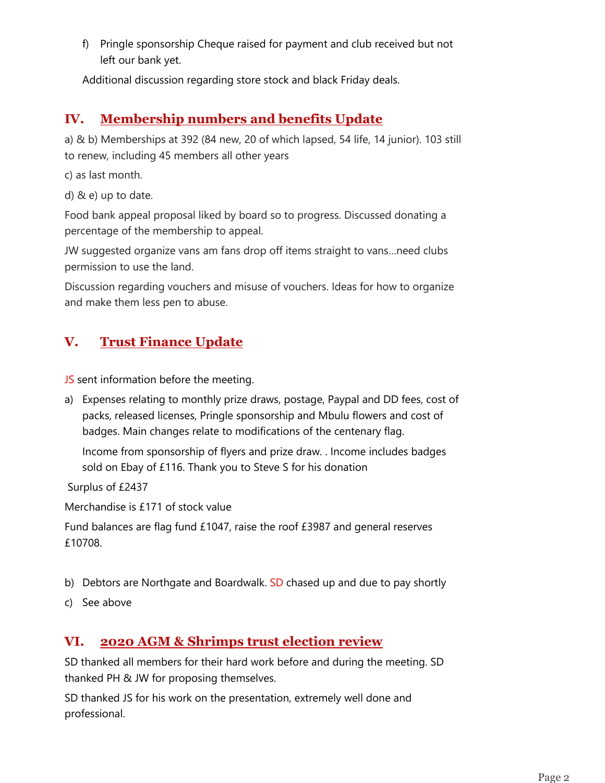f) Pringle sponsorship Cheque raised for payment and club received but not left our bank yet.

Additional discussion regarding store stock and black Friday deals.

## **IV. Membership numbers and benefits Update**

a) & b) Memberships at 392 (84 new, 20 of which lapsed, 54 life, 14 junior). 103 still to renew, including 45 members all other years

c) as last month.

d) & e) up to date.

Food bank appeal proposal liked by board so to progress. Discussed donating a percentage of the membership to appeal.

JW suggested organize vans am fans drop off items straight to vans…need clubs permission to use the land.

Discussion regarding vouchers and misuse of vouchers. Ideas for how to organize and make them less pen to abuse.

# **V. Trust Finance Update**

JS sent information before the meeting.

a) Expenses relating to monthly prize draws, postage, Paypal and DD fees, cost of packs, released licenses, Pringle sponsorship and Mbulu flowers and cost of badges. Main changes relate to modifications of the centenary flag.

Income from sponsorship of flyers and prize draw. . Income includes badges sold on Ebay of £116. Thank you to Steve S for his donation

Surplus of £2437

Merchandise is £171 of stock value

Fund balances are flag fund £1047, raise the roof £3987 and general reserves £10708.

- b) Debtors are Northgate and Boardwalk. SD chased up and due to pay shortly
- c) See above

## **VI. 2020 AGM & Shrimps trust election review**

SD thanked all members for their hard work before and during the meeting. SD thanked PH & JW for proposing themselves.

SD thanked JS for his work on the presentation, extremely well done and professional.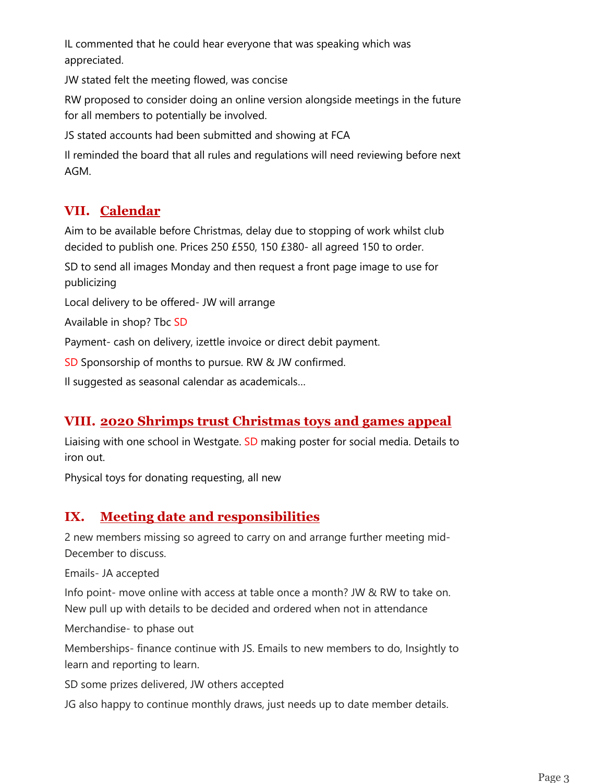IL commented that he could hear everyone that was speaking which was appreciated.

JW stated felt the meeting flowed, was concise

RW proposed to consider doing an online version alongside meetings in the future for all members to potentially be involved.

JS stated accounts had been submitted and showing at FCA

Il reminded the board that all rules and regulations will need reviewing before next AGM.

# **VII. Calendar**

Aim to be available before Christmas, delay due to stopping of work whilst club decided to publish one. Prices 250 £550, 150 £380- all agreed 150 to order.

SD to send all images Monday and then request a front page image to use for publicizing

Local delivery to be offered- JW will arrange

Available in shop? Tbc SD

Payment- cash on delivery, izettle invoice or direct debit payment.

SD Sponsorship of months to pursue. RW & JW confirmed.

Il suggested as seasonal calendar as academicals…

# **VIII. 2020 Shrimps trust Christmas toys and games appeal**

Liaising with one school in Westgate. SD making poster for social media. Details to iron out.

Physical toys for donating requesting, all new

# **IX. Meeting date and responsibilities**

2 new members missing so agreed to carry on and arrange further meeting mid-December to discuss.

Emails- JA accepted

Info point- move online with access at table once a month? JW & RW to take on. New pull up with details to be decided and ordered when not in attendance

Merchandise- to phase out

Memberships- finance continue with JS. Emails to new members to do, Insightly to learn and reporting to learn.

SD some prizes delivered, JW others accepted

JG also happy to continue monthly draws, just needs up to date member details.